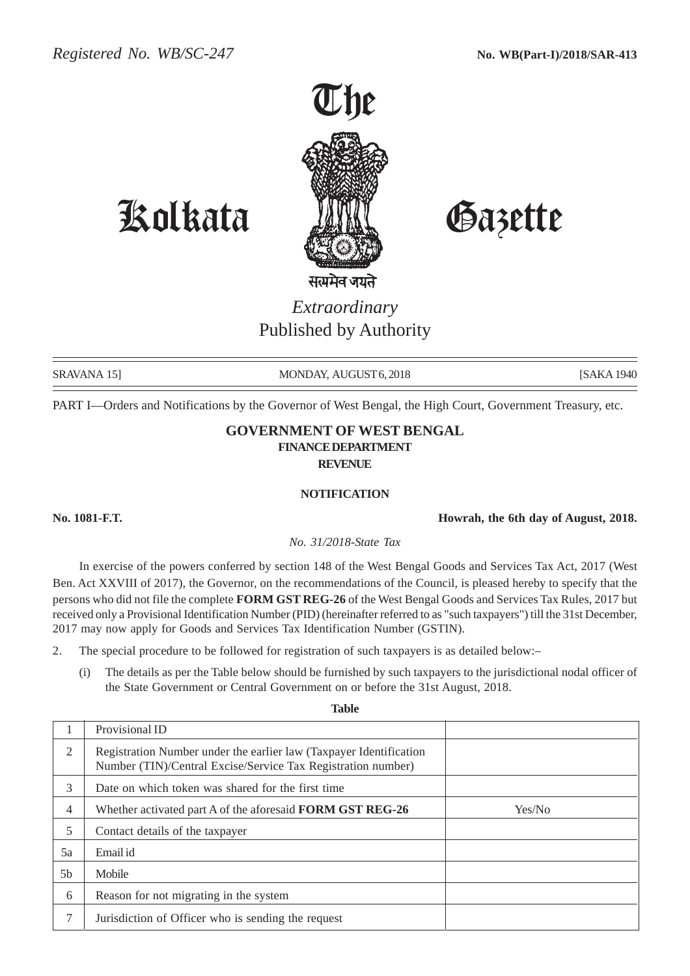

Kolkata Gazette

## *Extraordinary* Published by Authority

SRAVANA 15] MONDAY, AUGUST 6, 2018 [SAKA 1940] [SAKA 1940

PART I—Orders and Notifications by the Governor of West Bengal, the High Court, Government Treasury, etc.

## **GOVERNMENT OF WEST BENGAL FINANCE DEPARTMENT REVENUE**

## **NOTIFICATION**

**No. 1081-F.T. Howrah, the 6th day of August, 2018.**

*No. 31/2018-State Tax*

In exercise of the powers conferred by section 148 of the West Bengal Goods and Services Tax Act, 2017 (West Ben. Act XXVIII of 2017), the Governor, on the recommendations of the Council, is pleased hereby to specify that the persons who did not file the complete **FORM GST REG-26** of the West Bengal Goods and Services Tax Rules, 2017 but received only a Provisional Identification Number (PID) (hereinafter referred to as "such taxpayers") till the 31st December, 2017 may now apply for Goods and Services Tax Identification Number (GSTIN).

- 2. The special procedure to be followed for registration of such taxpayers is as detailed below:–
	- (i) The details as per the Table below should be furnished by such taxpayers to the jurisdictional nodal officer of the State Government or Central Government on or before the 31st August, 2018.

**Table**

|                | Provisional ID                                                                                                                     |        |
|----------------|------------------------------------------------------------------------------------------------------------------------------------|--------|
| $\mathfrak{D}$ | Registration Number under the earlier law (Taxpayer Identification<br>Number (TIN)/Central Excise/Service Tax Registration number) |        |
| 3              | Date on which token was shared for the first time                                                                                  |        |
| $\overline{4}$ | Whether activated part A of the aforesaid FORM GST REG-26                                                                          | Yes/No |
| 5              | Contact details of the taxpayer                                                                                                    |        |
| 5a             | Email id                                                                                                                           |        |
| 5 <sub>b</sub> | Mobile                                                                                                                             |        |
| 6              | Reason for not migrating in the system                                                                                             |        |
| 7              | Jurisdiction of Officer who is sending the request                                                                                 |        |